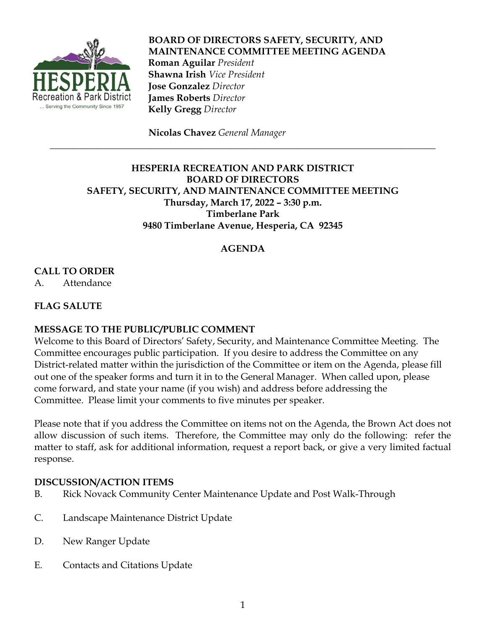

# **BOARD OF DIRECTORS SAFETY, SECURITY, AND MAINTENANCE COMMITTEE MEETING AGENDA Roman Aguilar** *President*  **Shawna Irish** *Vice President*  **Jose Gonzalez** *Director*  **James Roberts** *Director*  **Kelly Gregg** *Director*

 **Nicolas Chavez** *General Manager*

## **HESPERIA RECREATION AND PARK DISTRICT BOARD OF DIRECTORS SAFETY, SECURITY, AND MAINTENANCE COMMITTEE MEETING Thursday, March 17, 2022 – 3:30 p.m. Timberlane Park 9480 Timberlane Avenue, Hesperia, CA 92345**

\_\_\_\_\_\_\_\_\_\_\_\_\_\_\_\_\_\_\_\_\_\_\_\_\_\_\_\_\_\_\_\_\_\_\_\_\_\_\_\_\_\_\_\_\_\_\_\_\_\_\_\_\_\_\_\_\_\_\_\_\_\_\_\_\_\_\_\_\_\_\_\_\_\_\_\_\_\_\_\_\_

# **AGENDA**

# **CALL TO ORDER**

A. Attendance

### **FLAG SALUTE**

### **MESSAGE TO THE PUBLIC/PUBLIC COMMENT**

Welcome to this Board of Directors' Safety, Security, and Maintenance Committee Meeting. The Committee encourages public participation. If you desire to address the Committee on any District-related matter within the jurisdiction of the Committee or item on the Agenda, please fill out one of the speaker forms and turn it in to the General Manager. When called upon, please come forward, and state your name (if you wish) and address before addressing the Committee. Please limit your comments to five minutes per speaker.

Please note that if you address the Committee on items not on the Agenda, the Brown Act does not allow discussion of such items. Therefore, the Committee may only do the following: refer the matter to staff, ask for additional information, request a report back, or give a very limited factual response.

#### **DISCUSSION/ACTION ITEMS**

- B. Rick Novack Community Center Maintenance Update and Post Walk-Through
- C. Landscape Maintenance District Update
- D. New Ranger Update
- E. Contacts and Citations Update